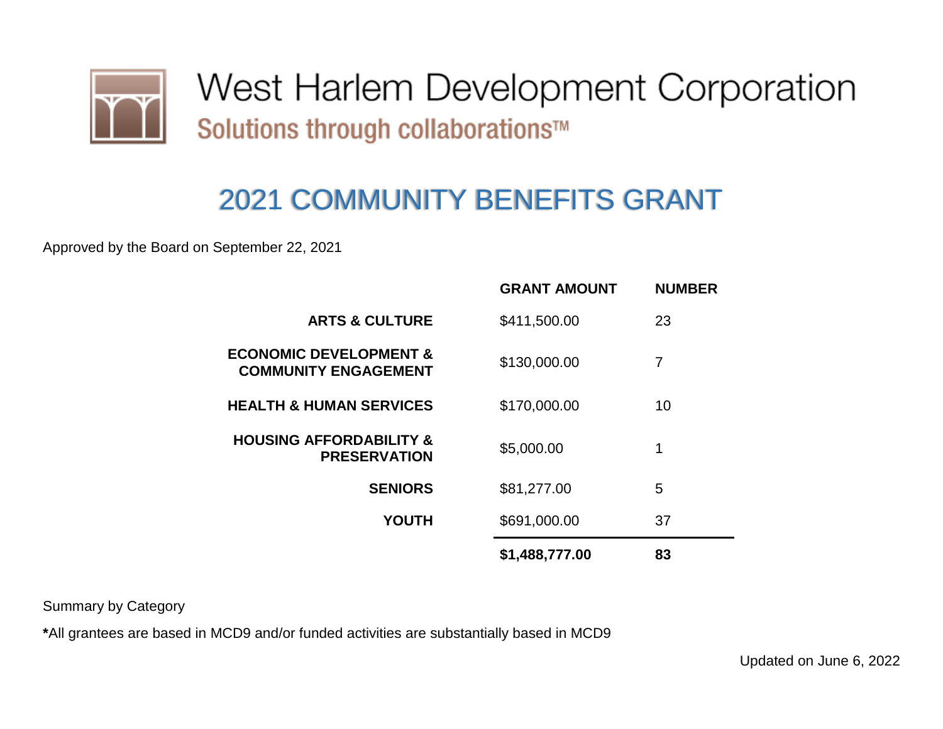

West Harlem Development Corporation Solutions through collaborations™

## 2021 COMMUNITY BENEFITS GRANT

Approved by the Board on September 22, 2021

|                                                                  | <b>GRANT AMOUNT</b> | <b>NUMBER</b> |
|------------------------------------------------------------------|---------------------|---------------|
| <b>ARTS &amp; CULTURE</b>                                        | \$411,500.00        | 23            |
| <b>ECONOMIC DEVELOPMENT &amp;</b><br><b>COMMUNITY ENGAGEMENT</b> | \$130,000.00        | 7             |
| <b>HEALTH &amp; HUMAN SERVICES</b>                               | \$170,000.00        | 10            |
| <b>HOUSING AFFORDABILITY &amp;</b><br><b>PRESERVATION</b>        | \$5,000.00          | 1             |
| <b>SENIORS</b>                                                   | \$81,277.00         | 5             |
| <b>YOUTH</b>                                                     | \$691,000.00        | 37            |
|                                                                  | \$1,488,777.00      | 83            |

Summary by Category

**\***All grantees are based in MCD9 and/or funded activities are substantially based in MCD9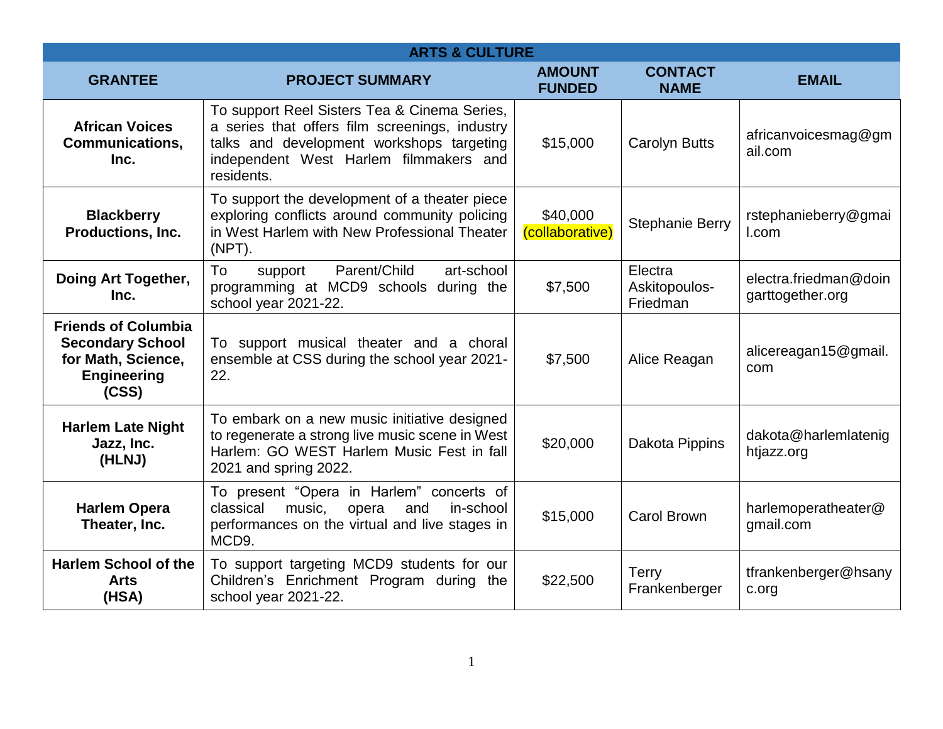| <b>ARTS &amp; CULTURE</b>                                                                                  |                                                                                                                                                                                                     |                                |                                      |                                           |
|------------------------------------------------------------------------------------------------------------|-----------------------------------------------------------------------------------------------------------------------------------------------------------------------------------------------------|--------------------------------|--------------------------------------|-------------------------------------------|
| <b>GRANTEE</b>                                                                                             | <b>PROJECT SUMMARY</b>                                                                                                                                                                              | <b>AMOUNT</b><br><b>FUNDED</b> | <b>CONTACT</b><br><b>NAME</b>        | <b>EMAIL</b>                              |
| <b>African Voices</b><br><b>Communications,</b><br>Inc.                                                    | To support Reel Sisters Tea & Cinema Series,<br>a series that offers film screenings, industry<br>talks and development workshops targeting<br>independent West Harlem filmmakers and<br>residents. | \$15,000                       | <b>Carolyn Butts</b>                 | africanvoicesmag@gm<br>ail.com            |
| <b>Blackberry</b><br>Productions, Inc.                                                                     | To support the development of a theater piece<br>exploring conflicts around community policing<br>in West Harlem with New Professional Theater<br>$(NPT)$ .                                         | \$40,000<br>(collaborative)    | <b>Stephanie Berry</b>               | rstephanieberry@gmai<br>I.com             |
| Doing Art Together,<br>Inc.                                                                                | Parent/Child<br>art-school<br>To<br>support<br>programming at MCD9 schools during the<br>school year 2021-22.                                                                                       | \$7,500                        | Electra<br>Askitopoulos-<br>Friedman | electra.friedman@doin<br>garttogether.org |
| <b>Friends of Columbia</b><br><b>Secondary School</b><br>for Math, Science,<br><b>Engineering</b><br>(CSS) | To support musical theater and a choral<br>ensemble at CSS during the school year 2021-<br>22.                                                                                                      | \$7,500                        | Alice Reagan                         | alicereagan15@gmail.<br>com               |
| <b>Harlem Late Night</b><br>Jazz, Inc.<br>(HLNJ)                                                           | To embark on a new music initiative designed<br>to regenerate a strong live music scene in West<br>Harlem: GO WEST Harlem Music Fest in fall<br>2021 and spring 2022.                               | \$20,000                       | Dakota Pippins                       | dakota@harlemlatenig<br>htjazz.org        |
| <b>Harlem Opera</b><br>Theater, Inc.                                                                       | To present "Opera in Harlem" concerts of<br>classical<br>music,<br>opera<br>and<br>in-school<br>performances on the virtual and live stages in<br>MCD <sub>9</sub> .                                | \$15,000                       | <b>Carol Brown</b>                   | harlemoperatheater@<br>gmail.com          |
| <b>Harlem School of the</b><br><b>Arts</b><br>(HSA)                                                        | To support targeting MCD9 students for our<br>Children's Enrichment Program during the<br>school year 2021-22.                                                                                      | \$22,500                       | <b>Terry</b><br>Frankenberger        | tfrankenberger@hsany<br>c.org             |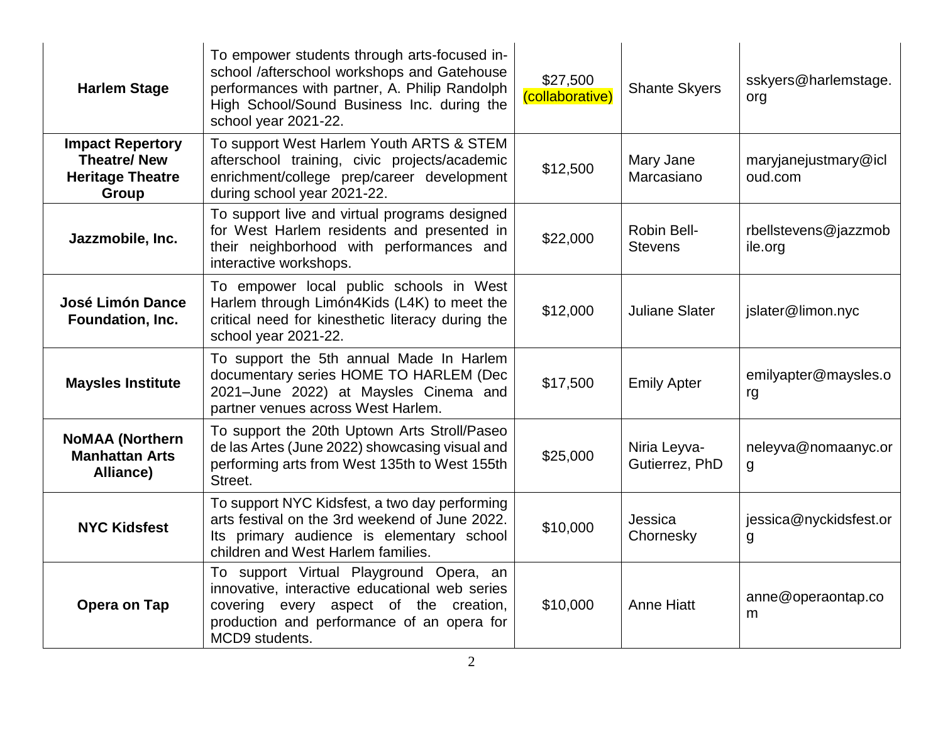| <b>Harlem Stage</b>                                                               | To empower students through arts-focused in-<br>school /afterschool workshops and Gatehouse<br>performances with partner, A. Philip Randolph<br>High School/Sound Business Inc. during the<br>school year 2021-22. | \$27,500<br>(collaborative) | <b>Shante Skyers</b>           | sskyers@harlemstage.<br>org     |
|-----------------------------------------------------------------------------------|--------------------------------------------------------------------------------------------------------------------------------------------------------------------------------------------------------------------|-----------------------------|--------------------------------|---------------------------------|
| <b>Impact Repertory</b><br><b>Theatre/New</b><br><b>Heritage Theatre</b><br>Group | To support West Harlem Youth ARTS & STEM<br>afterschool training, civic projects/academic<br>enrichment/college prep/career development<br>during school year 2021-22.                                             | \$12,500                    | Mary Jane<br>Marcasiano        | maryjanejustmary@icl<br>oud.com |
| Jazzmobile, Inc.                                                                  | To support live and virtual programs designed<br>for West Harlem residents and presented in<br>their neighborhood with performances and<br>interactive workshops.                                                  | \$22,000                    | Robin Bell-<br><b>Stevens</b>  | rbellstevens@jazzmob<br>ile.org |
| <b>José Limón Dance</b><br>Foundation, Inc.                                       | To empower local public schools in West<br>Harlem through Limón4Kids (L4K) to meet the<br>critical need for kinesthetic literacy during the<br>school year 2021-22.                                                | \$12,000                    | <b>Juliane Slater</b>          | jslater@limon.nyc               |
| <b>Maysles Institute</b>                                                          | To support the 5th annual Made In Harlem<br>documentary series HOME TO HARLEM (Dec<br>2021-June 2022) at Maysles Cinema and<br>partner venues across West Harlem.                                                  | \$17,500                    | <b>Emily Apter</b>             | emilyapter@maysles.o<br>rg      |
| <b>NOMAA (Northern</b><br><b>Manhattan Arts</b><br>Alliance)                      | To support the 20th Uptown Arts Stroll/Paseo<br>de las Artes (June 2022) showcasing visual and<br>performing arts from West 135th to West 155th<br>Street.                                                         | \$25,000                    | Niria Leyva-<br>Gutierrez, PhD | neleyva@nomaanyc.or<br>g        |
| <b>NYC Kidsfest</b>                                                               | To support NYC Kidsfest, a two day performing<br>arts festival on the 3rd weekend of June 2022.<br>Its primary audience is elementary school<br>children and West Harlem families.                                 | \$10,000                    | Jessica<br>Chornesky           | jessica@nyckidsfest.or<br>g     |
| Opera on Tap                                                                      | To support Virtual Playground Opera, an<br>innovative, interactive educational web series<br>covering every aspect of the creation,<br>production and performance of an opera for<br>MCD9 students.                | \$10,000                    | <b>Anne Hiatt</b>              | anne@operaontap.co<br>m         |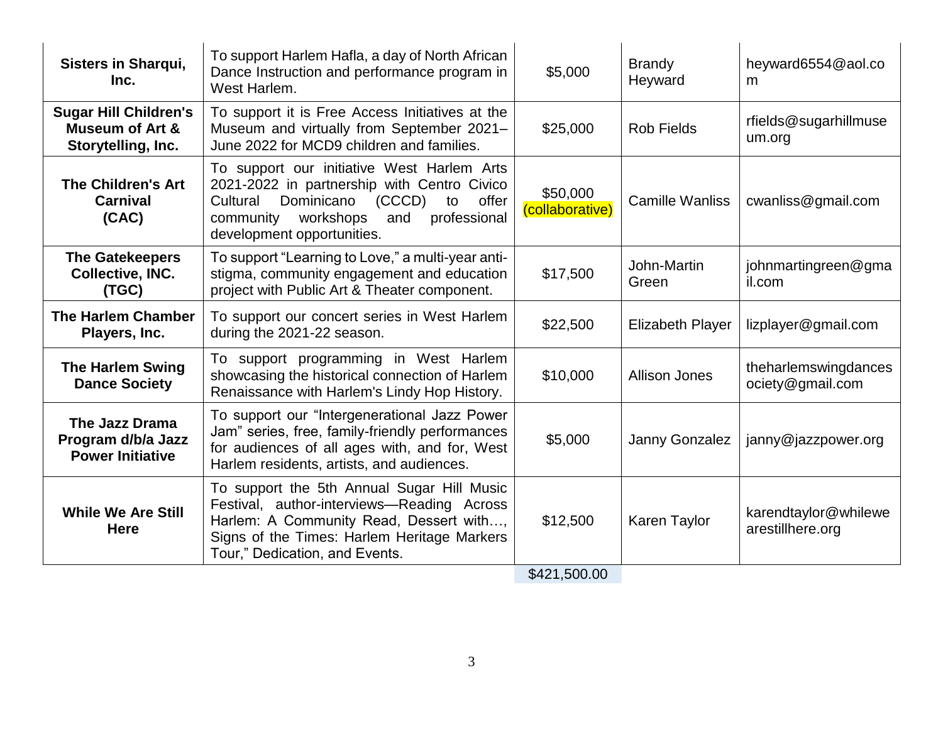| <b>Sisters in Sharqui,</b><br>Inc.                                               | To support Harlem Hafla, a day of North African<br>Dance Instruction and performance program in<br>West Harlem.                                                                                                          | \$5,000                     | <b>Brandy</b><br>Heyward | heyward6554@aol.co<br>m                  |
|----------------------------------------------------------------------------------|--------------------------------------------------------------------------------------------------------------------------------------------------------------------------------------------------------------------------|-----------------------------|--------------------------|------------------------------------------|
| <b>Sugar Hill Children's</b><br><b>Museum of Art &amp;</b><br>Storytelling, Inc. | To support it is Free Access Initiatives at the<br>Museum and virtually from September 2021-<br>June 2022 for MCD9 children and families.                                                                                | \$25,000                    | <b>Rob Fields</b>        | rfields@sugarhillmuse<br>um.org          |
| <b>The Children's Art</b><br>Carnival<br>(CAC)                                   | To support our initiative West Harlem Arts<br>2021-2022 in partnership with Centro Civico<br>Dominicano<br>(CCCD)<br>Cultural<br>offer<br>to<br>community workshops<br>and<br>professional<br>development opportunities. | \$50,000<br>(collaborative) | <b>Camille Wanliss</b>   | cwanliss@gmail.com                       |
| <b>The Gatekeepers</b><br><b>Collective, INC.</b><br>(TGC)                       | To support "Learning to Love," a multi-year anti-<br>stigma, community engagement and education<br>project with Public Art & Theater component.                                                                          | \$17,500                    | John-Martin<br>Green     | johnmartingreen@gma<br>il.com            |
| <b>The Harlem Chamber</b><br>Players, Inc.                                       | To support our concert series in West Harlem<br>during the 2021-22 season.                                                                                                                                               | \$22,500                    | <b>Elizabeth Player</b>  | lizplayer@gmail.com                      |
| <b>The Harlem Swing</b><br><b>Dance Society</b>                                  | To support programming in West Harlem<br>showcasing the historical connection of Harlem<br>Renaissance with Harlem's Lindy Hop History.                                                                                  | \$10,000                    | <b>Allison Jones</b>     | theharlemswingdances<br>ociety@gmail.com |
| The Jazz Drama<br>Program d/b/a Jazz<br><b>Power Initiative</b>                  | To support our "Intergenerational Jazz Power<br>Jam" series, free, family-friendly performances<br>for audiences of all ages with, and for, West<br>Harlem residents, artists, and audiences.                            | \$5,000                     | Janny Gonzalez           | janny@jazzpower.org                      |
| <b>While We Are Still</b><br><b>Here</b>                                         | To support the 5th Annual Sugar Hill Music<br>Festival, author-interviews-Reading Across<br>Harlem: A Community Read, Dessert with,<br>Signs of the Times: Harlem Heritage Markers<br>Tour," Dedication, and Events.     | \$12,500<br>0.121 E0000     | Karen Taylor             | karendtaylor@whilewe<br>arestillhere.org |

\$421,500.00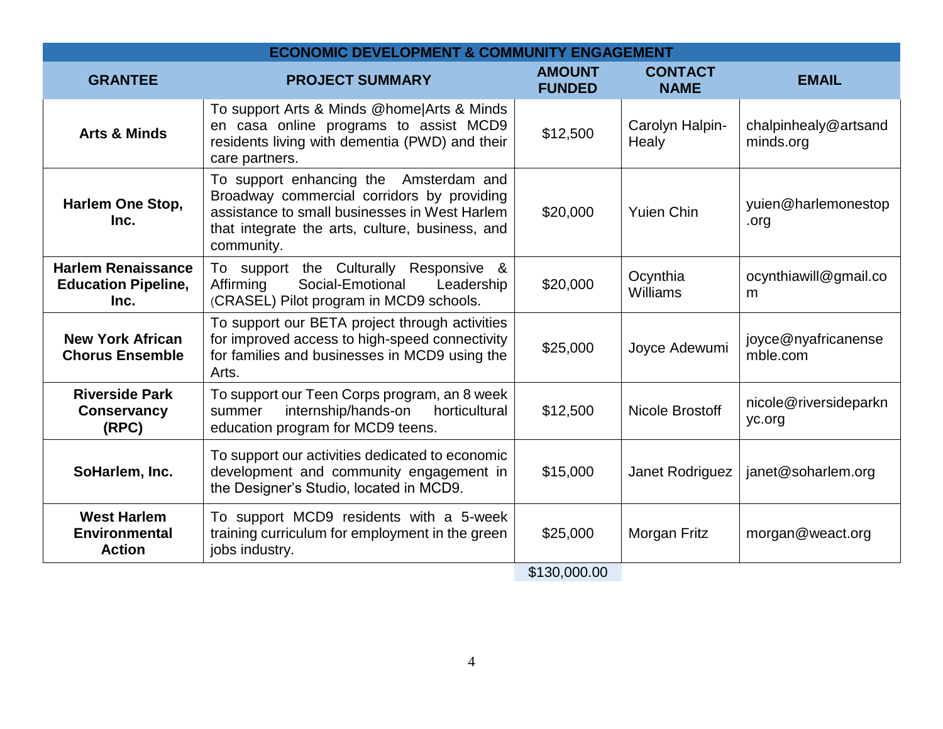|                                                                 | <b>ECONOMIC DEVELOPMENT &amp; COMMUNITY ENGAGEMENT</b>                                                                                                                                                 |                                |                               |                                   |
|-----------------------------------------------------------------|--------------------------------------------------------------------------------------------------------------------------------------------------------------------------------------------------------|--------------------------------|-------------------------------|-----------------------------------|
| <b>GRANTEE</b>                                                  | <b>PROJECT SUMMARY</b>                                                                                                                                                                                 | <b>AMOUNT</b><br><b>FUNDED</b> | <b>CONTACT</b><br><b>NAME</b> | <b>EMAIL</b>                      |
| <b>Arts &amp; Minds</b>                                         | To support Arts & Minds @home Arts & Minds<br>en casa online programs to assist MCD9<br>residents living with dementia (PWD) and their<br>care partners.                                               | \$12,500                       | Carolyn Halpin-<br>Healy      | chalpinhealy@artsand<br>minds.org |
| <b>Harlem One Stop,</b><br>Inc.                                 | To support enhancing the Amsterdam and<br>Broadway commercial corridors by providing<br>assistance to small businesses in West Harlem<br>that integrate the arts, culture, business, and<br>community. | \$20,000                       | <b>Yuien Chin</b>             | yuien@harlemonestop<br>.org       |
| <b>Harlem Renaissance</b><br><b>Education Pipeline,</b><br>Inc. | To support the Culturally Responsive &<br>Affirming<br>Social-Emotional<br>Leadership<br>(CRASEL) Pilot program in MCD9 schools.                                                                       | \$20,000                       | Ocynthia<br><b>Williams</b>   | ocynthiawill@gmail.co<br>m        |
| <b>New York African</b><br><b>Chorus Ensemble</b>               | To support our BETA project through activities<br>for improved access to high-speed connectivity<br>for families and businesses in MCD9 using the<br>Arts.                                             | \$25,000                       | Joyce Adewumi                 | joyce@nyafricanense<br>mble.com   |
| <b>Riverside Park</b><br>Conservancy<br>(RPC)                   | To support our Teen Corps program, an 8 week<br>internship/hands-on<br>horticultural<br>summer<br>education program for MCD9 teens.                                                                    | \$12,500                       | Nicole Brostoff               | nicole@riversideparkn<br>yc.org   |
| SoHarlem, Inc.                                                  | To support our activities dedicated to economic<br>development and community engagement in<br>the Designer's Studio, located in MCD9.                                                                  | \$15,000                       | Janet Rodriguez               | janet@soharlem.org                |
| <b>West Harlem</b><br><b>Environmental</b><br><b>Action</b>     | To support MCD9 residents with a 5-week<br>training curriculum for employment in the green<br>jobs industry.                                                                                           | \$25,000<br>M                  | Morgan Fritz                  | morgan@weact.org                  |

\$130,000.00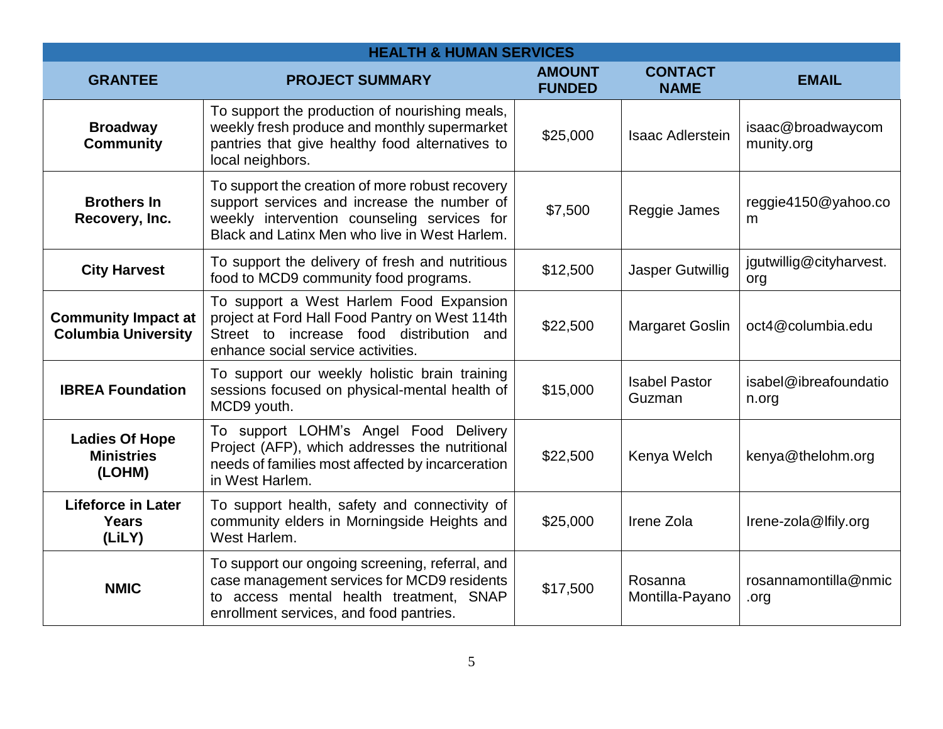| <b>HEALTH &amp; HUMAN SERVICES</b>                       |                                                                                                                                                                                                |                                |                                |                                 |
|----------------------------------------------------------|------------------------------------------------------------------------------------------------------------------------------------------------------------------------------------------------|--------------------------------|--------------------------------|---------------------------------|
| <b>GRANTEE</b>                                           | <b>PROJECT SUMMARY</b>                                                                                                                                                                         | <b>AMOUNT</b><br><b>FUNDED</b> | <b>CONTACT</b><br><b>NAME</b>  | <b>EMAIL</b>                    |
| <b>Broadway</b><br><b>Community</b>                      | To support the production of nourishing meals,<br>weekly fresh produce and monthly supermarket<br>pantries that give healthy food alternatives to<br>local neighbors.                          | \$25,000                       | <b>Isaac Adlerstein</b>        | isaac@broadwaycom<br>munity.org |
| <b>Brothers In</b><br>Recovery, Inc.                     | To support the creation of more robust recovery<br>support services and increase the number of<br>weekly intervention counseling services for<br>Black and Latinx Men who live in West Harlem. | \$7,500                        | Reggie James                   | reggie4150@yahoo.co<br>m        |
| <b>City Harvest</b>                                      | To support the delivery of fresh and nutritious<br>food to MCD9 community food programs.                                                                                                       | \$12,500                       | <b>Jasper Gutwillig</b>        | jgutwillig@cityharvest.<br>org  |
| <b>Community Impact at</b><br><b>Columbia University</b> | To support a West Harlem Food Expansion<br>project at Ford Hall Food Pantry on West 114th<br>Street to increase food distribution and<br>enhance social service activities.                    | \$22,500                       | <b>Margaret Goslin</b>         | oct4@columbia.edu               |
| <b>IBREA Foundation</b>                                  | To support our weekly holistic brain training<br>sessions focused on physical-mental health of<br>MCD9 youth.                                                                                  | \$15,000                       | <b>Isabel Pastor</b><br>Guzman | isabel@ibreafoundatio<br>n.org  |
| <b>Ladies Of Hope</b><br><b>Ministries</b><br>(LOHM)     | To support LOHM's Angel Food Delivery<br>Project (AFP), which addresses the nutritional<br>needs of families most affected by incarceration<br>in West Harlem.                                 | \$22,500                       | Kenya Welch                    | kenya@thelohm.org               |
| <b>Lifeforce in Later</b><br><b>Years</b><br>(LiLY)      | To support health, safety and connectivity of<br>community elders in Morningside Heights and<br>West Harlem.                                                                                   | \$25,000                       | Irene Zola                     | Irene-zola@Ifily.org            |
| <b>NMIC</b>                                              | To support our ongoing screening, referral, and<br>case management services for MCD9 residents<br>to access mental health treatment, SNAP<br>enrollment services, and food pantries.           | \$17,500                       | Rosanna<br>Montilla-Payano     | rosannamontilla@nmic<br>.org    |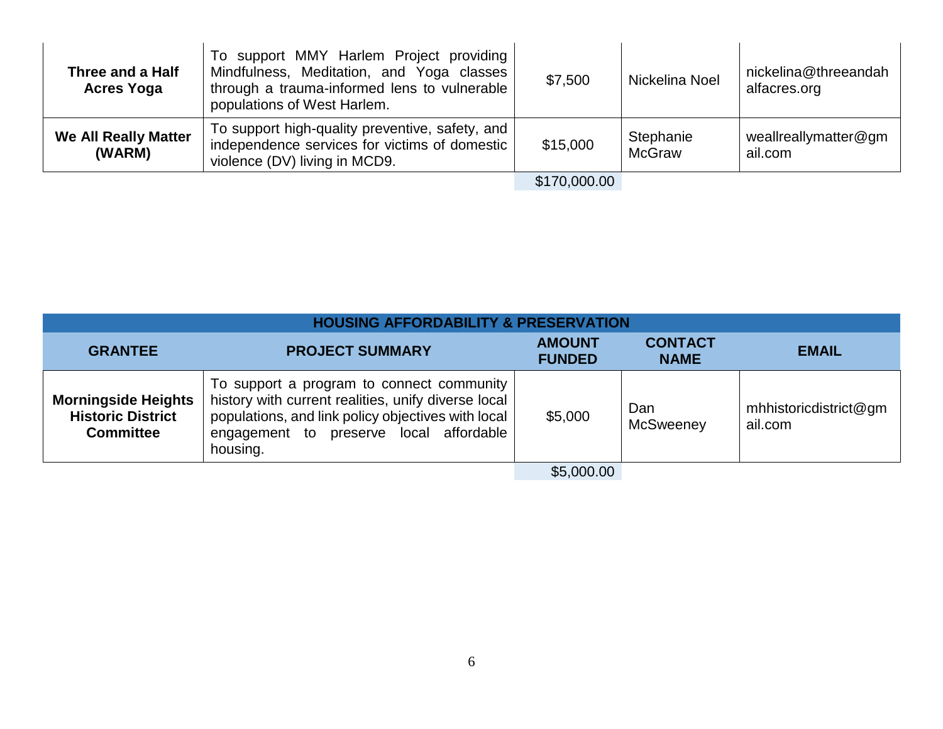| Three and a Half<br><b>Acres Yoga</b> | To support MMY Harlem Project providing<br>Mindfulness, Meditation, and Yoga classes<br>through a trauma-informed lens to vulnerable<br>populations of West Harlem. | \$7,500      | Nickelina Noel             | nickelina@threeandah<br>alfacres.org |
|---------------------------------------|---------------------------------------------------------------------------------------------------------------------------------------------------------------------|--------------|----------------------------|--------------------------------------|
| <b>We All Really Matter</b><br>(WARM) | To support high-quality preventive, safety, and<br>independence services for victims of domestic<br>violence (DV) living in MCD9.                                   | \$15,000     | Stephanie<br><b>McGraw</b> | weallreallymatter@gm<br>ail.com      |
|                                       |                                                                                                                                                                     | \$170,000.00 |                            |                                      |

| <b>HOUSING AFFORDABILITY &amp; PRESERVATION</b>                            |                                                                                                                                                                                                               |                                |                               |                                  |
|----------------------------------------------------------------------------|---------------------------------------------------------------------------------------------------------------------------------------------------------------------------------------------------------------|--------------------------------|-------------------------------|----------------------------------|
| <b>GRANTEE</b>                                                             | <b>PROJECT SUMMARY</b>                                                                                                                                                                                        | <b>AMOUNT</b><br><b>FUNDED</b> | <b>CONTACT</b><br><b>NAME</b> | <b>EMAIL</b>                     |
| <b>Morningside Heights</b><br><b>Historic District</b><br><b>Committee</b> | To support a program to connect community<br>history with current realities, unify diverse local<br>populations, and link policy objectives with local<br>engagement to preserve local affordable<br>housing. | \$5,000                        | Dan<br><b>McSweeney</b>       | mhhistoricdistrict@gm<br>ail.com |
|                                                                            |                                                                                                                                                                                                               | \$5,000.00                     |                               |                                  |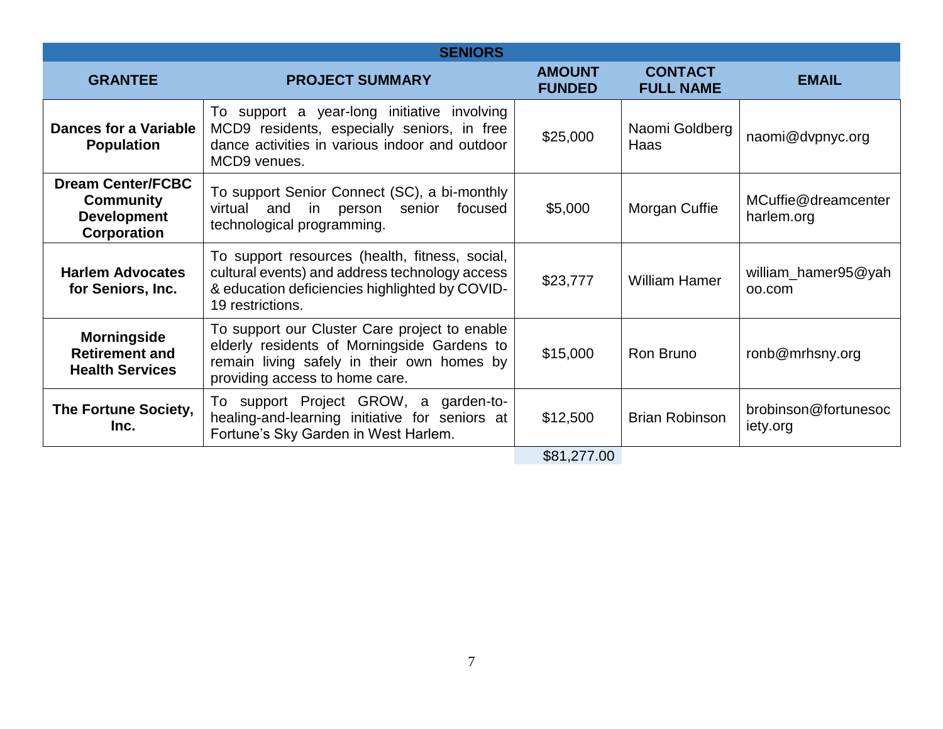| <b>SENIORS</b>                                                                           |                                                                                                                                                                              |                                |                                    |                                   |
|------------------------------------------------------------------------------------------|------------------------------------------------------------------------------------------------------------------------------------------------------------------------------|--------------------------------|------------------------------------|-----------------------------------|
| <b>GRANTEE</b>                                                                           | <b>PROJECT SUMMARY</b>                                                                                                                                                       | <b>AMOUNT</b><br><b>FUNDED</b> | <b>CONTACT</b><br><b>FULL NAME</b> | <b>EMAIL</b>                      |
| <b>Dances for a Variable</b><br><b>Population</b>                                        | To support a year-long initiative involving<br>MCD9 residents, especially seniors, in free<br>dance activities in various indoor and outdoor<br>MCD9 venues.                 | \$25,000                       | Naomi Goldberg<br>Haas             | naomi@dvpnyc.org                  |
| <b>Dream Center/FCBC</b><br><b>Community</b><br><b>Development</b><br><b>Corporation</b> | To support Senior Connect (SC), a bi-monthly<br>in the set<br>virtual and<br>senior<br>focused<br>person<br>technological programming.                                       | \$5,000                        | Morgan Cuffie                      | MCuffie@dreamcenter<br>harlem.org |
| <b>Harlem Advocates</b><br>for Seniors, Inc.                                             | To support resources (health, fitness, social,<br>cultural events) and address technology access<br>& education deficiencies highlighted by COVID-<br>19 restrictions.       | \$23,777                       | <b>William Hamer</b>               | william_hamer95@yah<br>00.com     |
| <b>Morningside</b><br><b>Retirement and</b><br><b>Health Services</b>                    | To support our Cluster Care project to enable<br>elderly residents of Morningside Gardens to<br>remain living safely in their own homes by<br>providing access to home care. | \$15,000                       | Ron Bruno                          | ronb@mrhsny.org                   |
| The Fortune Society,<br>Inc.                                                             | To support Project GROW, a garden-to-<br>healing-and-learning initiative for seniors at<br>Fortune's Sky Garden in West Harlem.                                              | \$12,500                       | <b>Brian Robinson</b>              | brobinson@fortunesoc<br>iety.org  |
|                                                                                          |                                                                                                                                                                              | \$81,277.00                    |                                    |                                   |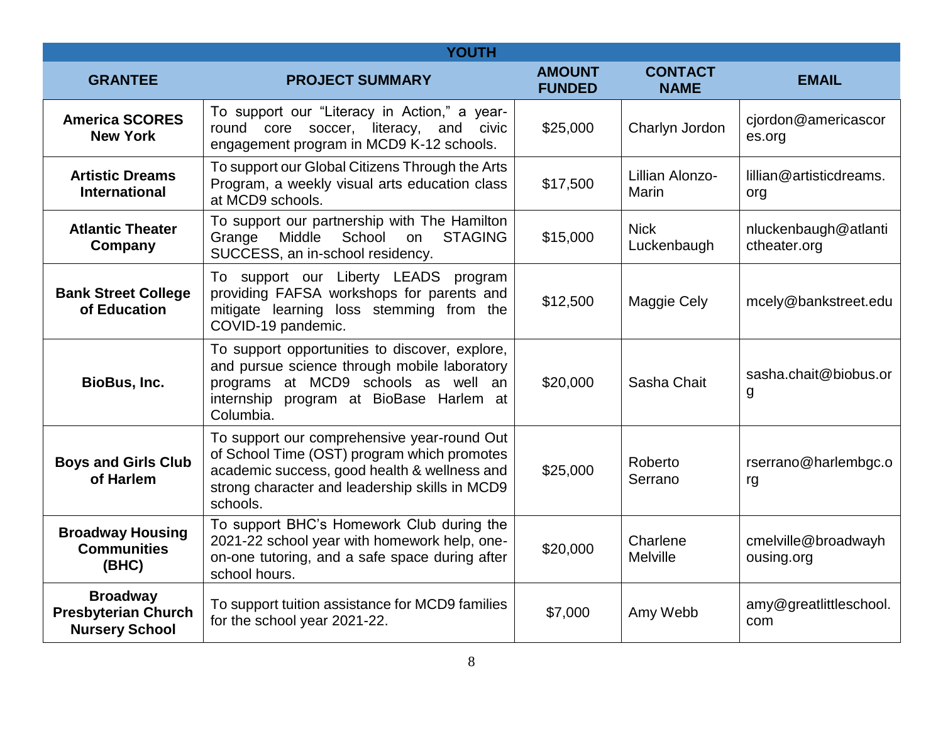| <b>YOUTH</b>                                                           |                                                                                                                                                                                                          |                                |                                 |                                      |
|------------------------------------------------------------------------|----------------------------------------------------------------------------------------------------------------------------------------------------------------------------------------------------------|--------------------------------|---------------------------------|--------------------------------------|
| <b>GRANTEE</b>                                                         | <b>PROJECT SUMMARY</b>                                                                                                                                                                                   | <b>AMOUNT</b><br><b>FUNDED</b> | <b>CONTACT</b><br><b>NAME</b>   | <b>EMAIL</b>                         |
| <b>America SCORES</b><br><b>New York</b>                               | To support our "Literacy in Action," a year-<br>round core soccer, literacy, and civic<br>engagement program in MCD9 K-12 schools.                                                                       | \$25,000                       | Charlyn Jordon                  | cjordon@americascor<br>es.org        |
| <b>Artistic Dreams</b><br><b>International</b>                         | To support our Global Citizens Through the Arts<br>Program, a weekly visual arts education class<br>at MCD9 schools.                                                                                     | \$17,500                       | Lillian Alonzo-<br><b>Marin</b> | lillian@artisticdreams.<br>org       |
| <b>Atlantic Theater</b><br>Company                                     | To support our partnership with The Hamilton<br>Middle<br>School<br><b>STAGING</b><br>Grange<br>on<br>SUCCESS, an in-school residency.                                                                   | \$15,000                       | <b>Nick</b><br>Luckenbaugh      | nluckenbaugh@atlanti<br>ctheater.org |
| <b>Bank Street College</b><br>of Education                             | To support our Liberty LEADS program<br>providing FAFSA workshops for parents and<br>mitigate learning loss stemming from the<br>COVID-19 pandemic.                                                      | \$12,500                       | Maggie Cely                     | mcely@bankstreet.edu                 |
| BioBus, Inc.                                                           | To support opportunities to discover, explore,<br>and pursue science through mobile laboratory<br>programs at MCD9 schools as well an<br>internship program at BioBase Harlem at<br>Columbia.            | \$20,000                       | Sasha Chait                     | sasha.chait@biobus.or<br>g           |
| <b>Boys and Girls Club</b><br>of Harlem                                | To support our comprehensive year-round Out<br>of School Time (OST) program which promotes<br>academic success, good health & wellness and<br>strong character and leadership skills in MCD9<br>schools. | \$25,000                       | Roberto<br>Serrano              | rserrano@harlembgc.o<br>rg           |
| <b>Broadway Housing</b><br><b>Communities</b><br>(BHC)                 | To support BHC's Homework Club during the<br>2021-22 school year with homework help, one-<br>on-one tutoring, and a safe space during after<br>school hours.                                             | \$20,000                       | Charlene<br>Melville            | cmelville@broadwayh<br>ousing.org    |
| <b>Broadway</b><br><b>Presbyterian Church</b><br><b>Nursery School</b> | To support tuition assistance for MCD9 families<br>for the school year 2021-22.                                                                                                                          | \$7,000                        | Amy Webb                        | amy@greatlittleschool.<br>com        |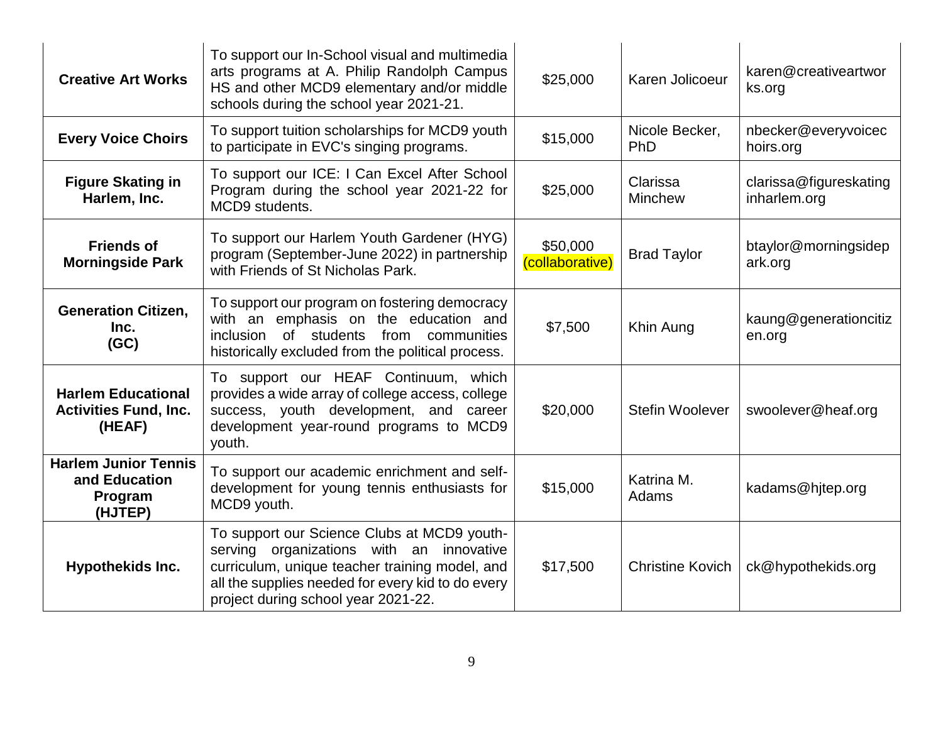| <b>Creative Art Works</b>                                           | To support our In-School visual and multimedia<br>arts programs at A. Philip Randolph Campus<br>HS and other MCD9 elementary and/or middle<br>schools during the school year 2021-21.                                                 | \$25,000                    | Karen Jolicoeur            | karen@creativeartwor<br>ks.org         |
|---------------------------------------------------------------------|---------------------------------------------------------------------------------------------------------------------------------------------------------------------------------------------------------------------------------------|-----------------------------|----------------------------|----------------------------------------|
| <b>Every Voice Choirs</b>                                           | To support tuition scholarships for MCD9 youth<br>to participate in EVC's singing programs.                                                                                                                                           | \$15,000                    | Nicole Becker,<br>PhD      | nbecker@everyvoicec<br>hoirs.org       |
| <b>Figure Skating in</b><br>Harlem, Inc.                            | To support our ICE: I Can Excel After School<br>Program during the school year 2021-22 for<br>MCD9 students.                                                                                                                          | \$25,000                    | Clarissa<br><b>Minchew</b> | clarissa@figureskating<br>inharlem.org |
| <b>Friends of</b><br><b>Morningside Park</b>                        | To support our Harlem Youth Gardener (HYG)<br>program (September-June 2022) in partnership<br>with Friends of St Nicholas Park.                                                                                                       | \$50,000<br>(collaborative) | <b>Brad Taylor</b>         | btaylor@morningsidep<br>ark.org        |
| <b>Generation Citizen,</b><br>Inc.<br>(GC)                          | To support our program on fostering democracy<br>with an emphasis on the education and<br>of students<br>from communities<br>inclusion<br>historically excluded from the political process.                                           | \$7,500                     | Khin Aung                  | kaung@generationcitiz<br>en.org        |
| <b>Harlem Educational</b><br><b>Activities Fund, Inc.</b><br>(HEAF) | To support our HEAF Continuum, which<br>provides a wide array of college access, college<br>success, youth development, and career<br>development year-round programs to MCD9<br>youth.                                               | \$20,000                    | <b>Stefin Woolever</b>     | swoolever@heaf.org                     |
| <b>Harlem Junior Tennis</b><br>and Education<br>Program<br>(HJTEP)  | To support our academic enrichment and self-<br>development for young tennis enthusiasts for<br>MCD9 youth.                                                                                                                           | \$15,000                    | Katrina M.<br>Adams        | kadams@hjtep.org                       |
| <b>Hypothekids Inc.</b>                                             | To support our Science Clubs at MCD9 youth-<br>serving organizations with an innovative<br>curriculum, unique teacher training model, and<br>all the supplies needed for every kid to do every<br>project during school year 2021-22. | \$17,500                    | <b>Christine Kovich</b>    | ck@hypothekids.org                     |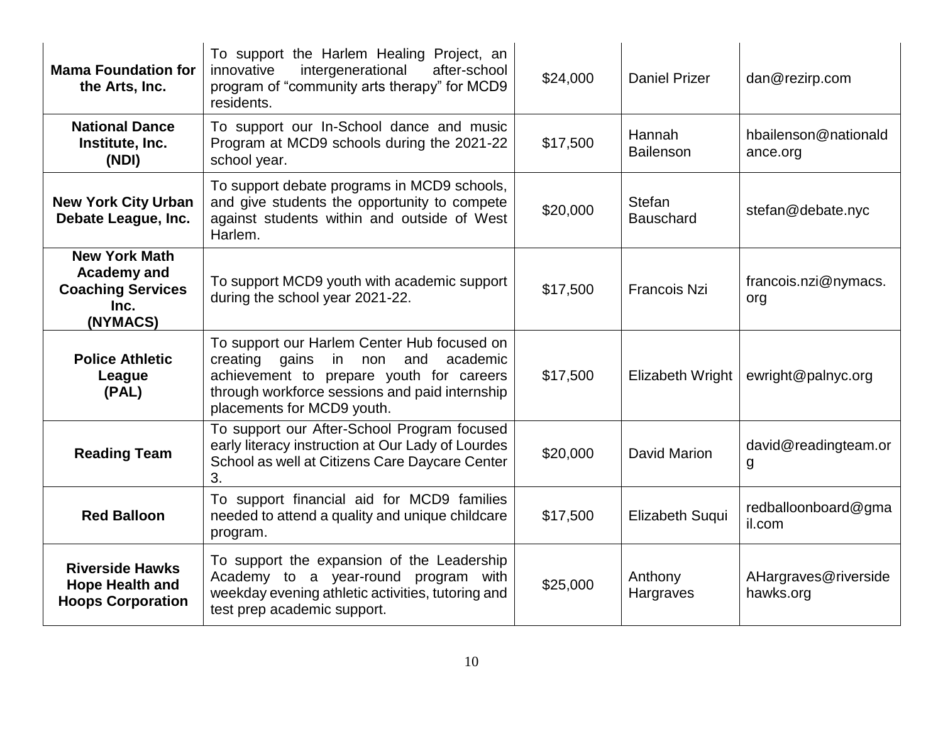| <b>Mama Foundation for</b><br>the Arts, Inc.                                               | To support the Harlem Healing Project, an<br>intergenerational<br>innovative<br>after-school<br>program of "community arts therapy" for MCD9<br>residents.                                                                | \$24,000 | <b>Daniel Prizer</b>              | dan@rezirp.com                    |
|--------------------------------------------------------------------------------------------|---------------------------------------------------------------------------------------------------------------------------------------------------------------------------------------------------------------------------|----------|-----------------------------------|-----------------------------------|
| <b>National Dance</b><br>Institute, Inc.<br>(NDI)                                          | To support our In-School dance and music<br>Program at MCD9 schools during the 2021-22<br>school year.                                                                                                                    | \$17,500 | Hannah<br><b>Bailenson</b>        | hbailenson@nationald<br>ance.org  |
| <b>New York City Urban</b><br>Debate League, Inc.                                          | To support debate programs in MCD9 schools,<br>and give students the opportunity to compete<br>against students within and outside of West<br>Harlem.                                                                     | \$20,000 | <b>Stefan</b><br><b>Bauschard</b> | stefan@debate.nyc                 |
| <b>New York Math</b><br><b>Academy and</b><br><b>Coaching Services</b><br>Inc.<br>(NYMACS) | To support MCD9 youth with academic support<br>during the school year 2021-22.                                                                                                                                            | \$17,500 | <b>Francois Nzi</b>               | francois.nzi@nymacs.<br>org       |
| <b>Police Athletic</b><br>League<br>(PAL)                                                  | To support our Harlem Center Hub focused on<br>creating gains<br>in<br>academic<br>non<br>and<br>achievement to prepare youth for careers<br>through workforce sessions and paid internship<br>placements for MCD9 youth. | \$17,500 | <b>Elizabeth Wright</b>           | ewright@palnyc.org                |
| <b>Reading Team</b>                                                                        | To support our After-School Program focused<br>early literacy instruction at Our Lady of Lourdes<br>School as well at Citizens Care Daycare Center<br>3.                                                                  | \$20,000 | David Marion                      | david@readingteam.or<br>g         |
| <b>Red Balloon</b>                                                                         | To support financial aid for MCD9 families<br>needed to attend a quality and unique childcare<br>program.                                                                                                                 | \$17,500 | <b>Elizabeth Suqui</b>            | redballoonboard@gma<br>il.com     |
| <b>Riverside Hawks</b><br><b>Hope Health and</b><br><b>Hoops Corporation</b>               | To support the expansion of the Leadership<br>Academy to a year-round program with<br>weekday evening athletic activities, tutoring and<br>test prep academic support.                                                    | \$25,000 | Anthony<br>Hargraves              | AHargraves@riverside<br>hawks.org |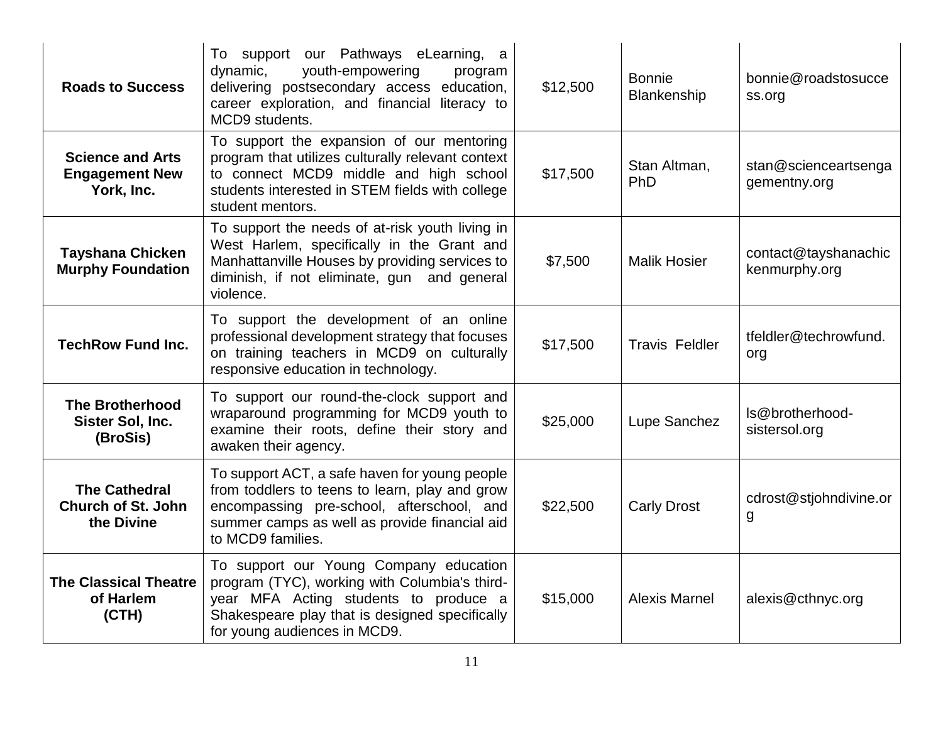| <b>Roads to Success</b>                                         | To support our Pathways eLearning, a<br>youth-empowering<br>dynamic,<br>program<br>delivering postsecondary access education,<br>career exploration, and financial literacy to<br>MCD9 students.                   | \$12,500 | <b>Bonnie</b><br>Blankenship | bonnie@roadstosucce<br>ss.org         |
|-----------------------------------------------------------------|--------------------------------------------------------------------------------------------------------------------------------------------------------------------------------------------------------------------|----------|------------------------------|---------------------------------------|
| <b>Science and Arts</b><br><b>Engagement New</b><br>York, Inc.  | To support the expansion of our mentoring<br>program that utilizes culturally relevant context<br>to connect MCD9 middle and high school<br>students interested in STEM fields with college<br>student mentors.    | \$17,500 | Stan Altman,<br>PhD          | stan@scienceartsenga<br>gementny.org  |
| <b>Tayshana Chicken</b><br><b>Murphy Foundation</b>             | To support the needs of at-risk youth living in<br>West Harlem, specifically in the Grant and<br>Manhattanville Houses by providing services to<br>diminish, if not eliminate, gun and general<br>violence.        | \$7,500  | <b>Malik Hosier</b>          | contact@tayshanachic<br>kenmurphy.org |
| <b>TechRow Fund Inc.</b>                                        | To support the development of an online<br>professional development strategy that focuses<br>on training teachers in MCD9 on culturally<br>responsive education in technology.                                     | \$17,500 | <b>Travis Feldler</b>        | tfeldler@techrowfund.<br>org          |
| <b>The Brotherhood</b><br>Sister Sol, Inc.<br>(BroSis)          | To support our round-the-clock support and<br>wraparound programming for MCD9 youth to<br>examine their roots, define their story and<br>awaken their agency.                                                      | \$25,000 | Lupe Sanchez                 | Is@brotherhood-<br>sistersol.org      |
| <b>The Cathedral</b><br><b>Church of St. John</b><br>the Divine | To support ACT, a safe haven for young people<br>from toddlers to teens to learn, play and grow<br>encompassing pre-school, afterschool, and<br>summer camps as well as provide financial aid<br>to MCD9 families. | \$22,500 | <b>Carly Drost</b>           | cdrost@stjohndivine.or<br>g           |
| <b>The Classical Theatre</b><br>of Harlem<br>(CH)               | To support our Young Company education<br>program (TYC), working with Columbia's third-<br>year MFA Acting students to produce a<br>Shakespeare play that is designed specifically<br>for young audiences in MCD9. | \$15,000 | <b>Alexis Marnel</b>         | alexis@cthnyc.org                     |